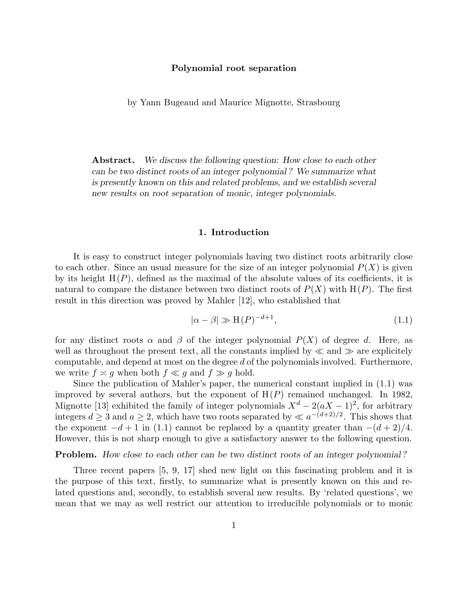# Polynomial root separation

by Yann Bugeaud and Maurice Mignotte, Strasbourg

Abstract. We discuss the following question: How close to each other can be two distinct roots of an integer polynomial ? We summarize what is presently known on this and related problems, and we establish several new results on root separation of monic, integer polynomials.

# 1. Introduction

It is easy to construct integer polynomials having two distinct roots arbitrarily close to each other. Since an usual measure for the size of an integer polynomial  $P(X)$  is given by its height  $H(P)$ , defined as the maximal of the absolute values of its coefficients, it is natural to compare the distance between two distinct roots of  $P(X)$  with  $H(P)$ . The first result in this direction was proved by Mahler [12], who established that

$$
|\alpha - \beta| \gg H(P)^{-d+1},\tag{1.1}
$$

for any distinct roots  $\alpha$  and  $\beta$  of the integer polynomial  $P(X)$  of degree d. Here, as well as throughout the present text, all the constants implied by  $\ll$  and  $\gg$  are explicitely computable, and depend at most on the degree d of the polynomials involved. Furthermore, we write  $f \approx g$  when both  $f \ll g$  and  $f \gg g$  hold.

Since the publication of Mahler's paper, the numerical constant implied in (1.1) was improved by several authors, but the exponent of  $H(P)$  remained unchanged. In 1982, Mignotte [13] exhibited the family of integer polynomials  $X^d - 2(aX - 1)^2$ , for arbitrary integers  $d \geq 3$  and  $a \geq 2$ , which have two roots separated by  $\ll a^{-(d+2)/2}$ . This shows that the exponent  $-d+1$  in (1.1) cannot be replaced by a quantity greater than  $-(d+2)/4$ . However, this is not sharp enough to give a satisfactory answer to the following question.

#### Problem. How close to each other can be two distinct roots of an integer polynomial ?

Three recent papers [5, 9, 17] shed new light on this fascinating problem and it is the purpose of this text, firstly, to summarize what is presently known on this and related questions and, secondly, to establish several new results. By 'related questions', we mean that we may as well restrict our attention to irreducible polynomials or to monic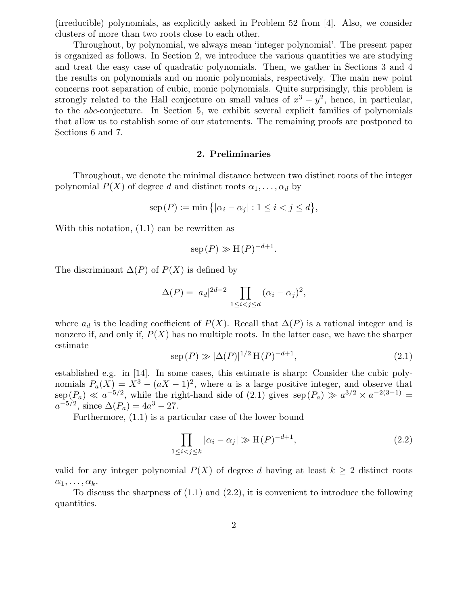(irreducible) polynomials, as explicitly asked in Problem 52 from [4]. Also, we consider clusters of more than two roots close to each other.

Throughout, by polynomial, we always mean 'integer polynomial'. The present paper is organized as follows. In Section 2, we introduce the various quantities we are studying and treat the easy case of quadratic polynomials. Then, we gather in Sections 3 and 4 the results on polynomials and on monic polynomials, respectively. The main new point concerns root separation of cubic, monic polynomials. Quite surprisingly, this problem is strongly related to the Hall conjecture on small values of  $x^3 - y^2$ , hence, in particular, to the abc-conjecture. In Section 5, we exhibit several explicit families of polynomials that allow us to establish some of our statements. The remaining proofs are postponed to Sections 6 and 7.

#### 2. Preliminaries

Throughout, we denote the minimal distance between two distinct roots of the integer polynomial  $P(X)$  of degree d and distinct roots  $\alpha_1, \ldots, \alpha_d$  by

$$
sep(P) := \min\big\{|\alpha_i - \alpha_j| : 1 \le i < j \le d\big\},\
$$

With this notation, (1.1) can be rewritten as

$$
\operatorname{sep}(P) \gg \operatorname{H}(P)^{-d+1}.
$$

The discriminant  $\Delta(P)$  of  $P(X)$  is defined by

$$
\Delta(P) = |a_d|^{2d-2} \prod_{1 \le i < j \le d} (\alpha_i - \alpha_j)^2,
$$

where  $a_d$  is the leading coefficient of  $P(X)$ . Recall that  $\Delta(P)$  is a rational integer and is nonzero if, and only if,  $P(X)$  has no multiple roots. In the latter case, we have the sharper estimate

$$
\text{sep}(P) \gg |\Delta(P)|^{1/2} \, \text{H}(P)^{-d+1},\tag{2.1}
$$

established e.g. in [14]. In some cases, this estimate is sharp: Consider the cubic polynomials  $P_a(X) = X^3 - (aX - 1)^2$ , where a is a large positive integer, and observe that  $\sup_{z \to a} (P_a) \ll a^{-5/2}$ , while the right-hand side of  $(2.1)$  gives  $\sup_{z \to a} (P_a) \gg a^{3/2} \times a^{-2(3-1)} =$  $a^{-5/2}$ , since  $\Delta(P_a) = 4a^3 - 27$ .

Furthermore, (1.1) is a particular case of the lower bound

$$
\prod_{1 \le i < j \le k} |\alpha_i - \alpha_j| \gg H(P)^{-d+1},\tag{2.2}
$$

valid for any integer polynomial  $P(X)$  of degree d having at least  $k > 2$  distinct roots  $\alpha_1, \ldots, \alpha_k$ .

To discuss the sharpness of (1.1) and (2.2), it is convenient to introduce the following quantities.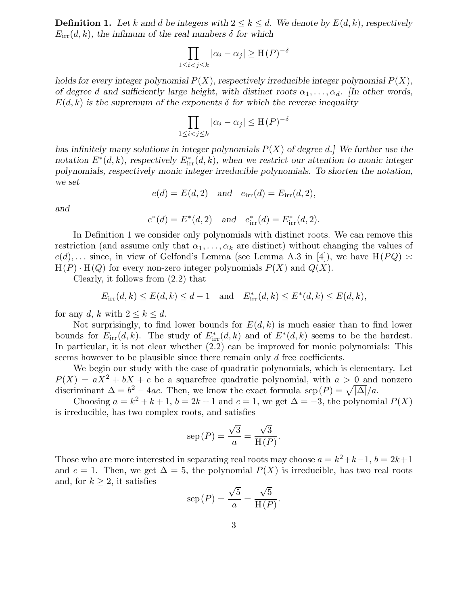**Definition 1.** Let k and d be integers with  $2 \leq k \leq d$ . We denote by  $E(d, k)$ , respectively  $E_{irr}(d, k)$ , the infimum of the real numbers  $\delta$  for which

$$
\prod_{1 \le i < j \le k} |\alpha_i - \alpha_j| \ge \mathcal{H}(P)^{-\delta}
$$

holds for every integer polynomial  $P(X)$ , respectively irreducible integer polynomial  $P(X)$ , of degree d and sufficiently large height, with distinct roots  $\alpha_1, \ldots, \alpha_d$ . [In other words,  $E(d, k)$  is the supremum of the exponents  $\delta$  for which the reverse inequality

$$
\prod_{1 \le i < j \le k} |\alpha_i - \alpha_j| \le \mathcal{H}(P)^{-\delta}
$$

has infinitely many solutions in integer polynomials  $P(X)$  of degree d. We further use the notation  $E^*(d, k)$ , respectively  $E^*_{irr}(d, k)$ , when we restrict our attention to monic integer polynomials, respectively monic integer irreducible polynomials. To shorten the notation, we set

$$
e(d) = E(d, 2) \quad \text{and} \quad e_{irr}(d) = E_{irr}(d, 2),
$$

and

$$
e^*(d) = E^*(d, 2)
$$
 and  $e^*_{irr}(d) = E^*_{irr}(d, 2)$ .

In Definition 1 we consider only polynomials with distinct roots. We can remove this restriction (and assume only that  $\alpha_1, \ldots, \alpha_k$  are distinct) without changing the values of  $e(d), \ldots$  since, in view of Gelfond's Lemma (see Lemma A.3 in [4]), we have  $H(PQ) \approx$  $H(P) \cdot H(Q)$  for every non-zero integer polynomials  $P(X)$  and  $Q(X)$ .

Clearly, it follows from (2.2) that

$$
E_{irr}(d,k) \le E(d,k) \le d-1
$$
 and  $E_{irr}(d,k) \le E^*(d,k) \le E(d,k)$ ,

for any d, k with  $2 \leq k \leq d$ .

Not surprisingly, to find lower bounds for  $E(d, k)$  is much easier than to find lower bounds for  $E_{irr}(d, k)$ . The study of  $E_{irr}(d, k)$  and of  $E^*(d, k)$  seems to be the hardest. In particular, it is not clear whether (2.2) can be improved for monic polynomials: This seems however to be plausible since there remain only d free coefficients.

We begin our study with the case of quadratic polynomials, which is elementary. Let  $P(X) = aX^2 + bX + c$  be a squarefree quadratic polynomial, with  $a > 0$  and nonzero discriminant  $\Delta = b^2 - 4ac$ . Then, we know the exact formula sep  $(P) = \sqrt{|\Delta|}/a$ .

Choosing  $a = k^2 + k + 1$ ,  $b = 2k + 1$  and  $c = 1$ , we get  $\Delta = -3$ , the polynomial  $P(X)$ is irreducible, has two complex roots, and satisfies

$$
sep(P) = \frac{\sqrt{3}}{a} = \frac{\sqrt{3}}{H(P)}.
$$

Those who are more interested in separating real roots may choose  $a = k^2 + k - 1$ ,  $b = 2k+1$ and  $c = 1$ . Then, we get  $\Delta = 5$ , the polynomial  $P(X)$  is irreducible, has two real roots and, for  $k \geq 2$ , it satisfies

$$
sep(P) = \frac{\sqrt{5}}{a} = \frac{\sqrt{5}}{H(P)}.
$$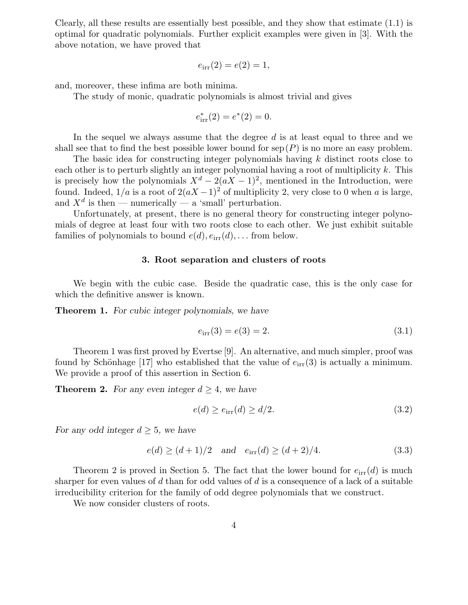Clearly, all these results are essentially best possible, and they show that estimate (1.1) is optimal for quadratic polynomials. Further explicit examples were given in [3]. With the above notation, we have proved that

$$
e_{irr}(2) = e(2) = 1,
$$

and, moreover, these infima are both minima.

The study of monic, quadratic polynomials is almost trivial and gives

$$
e^*_{\rm irr}(2) = e^*(2) = 0.
$$

In the sequel we always assume that the degree  $d$  is at least equal to three and we shall see that to find the best possible lower bound for  $\text{sep}(P)$  is no more an easy problem.

The basic idea for constructing integer polynomials having k distinct roots close to each other is to perturb slightly an integer polynomial having a root of multiplicity  $k$ . This is precisely how the polynomials  $X^d - 2(aX - 1)^2$ , mentioned in the Introduction, were found. Indeed,  $1/a$  is a root of  $2(aX-1)^2$  of multiplicity 2, very close to 0 when a is large, and  $X^d$  is then — numerically — a 'small' perturbation.

Unfortunately, at present, there is no general theory for constructing integer polynomials of degree at least four with two roots close to each other. We just exhibit suitable families of polynomials to bound  $e(d), e_{irr}(d), \ldots$  from below.

# 3. Root separation and clusters of roots

We begin with the cubic case. Beside the quadratic case, this is the only case for which the definitive answer is known.

**Theorem 1.** For cubic integer polynomials, we have

$$
e_{\rm irr}(3) = e(3) = 2. \tag{3.1}
$$

Theorem 1 was first proved by Evertse [9]. An alternative, and much simpler, proof was found by Schönhage [17] who established that the value of  $e_{irr}(3)$  is actually a minimum. We provide a proof of this assertion in Section 6.

**Theorem 2.** For any even integer  $d \geq 4$ , we have

$$
e(d) \ge e_{\text{irr}}(d) \ge d/2. \tag{3.2}
$$

For any odd integer  $d \geq 5$ , we have

$$
e(d) \ge (d+1)/2
$$
 and  $e_{irr}(d) \ge (d+2)/4.$  (3.3)

Theorem 2 is proved in Section 5. The fact that the lower bound for  $e_{irr}(d)$  is much sharper for even values of d than for odd values of d is a consequence of a lack of a suitable irreducibility criterion for the family of odd degree polynomials that we construct.

We now consider clusters of roots.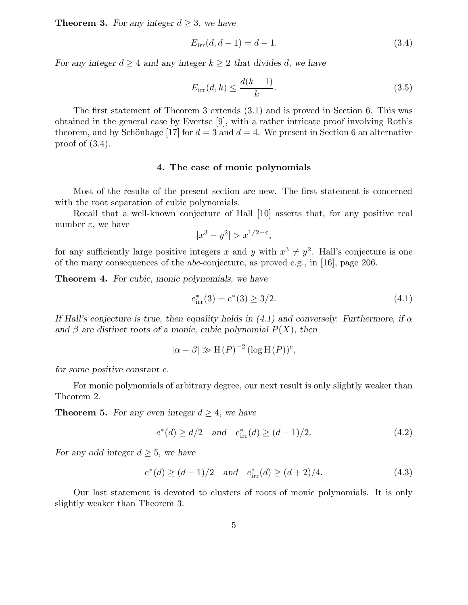**Theorem 3.** For any integer  $d \geq 3$ , we have

$$
E_{irr}(d, d-1) = d - 1.
$$
\n(3.4)

For any integer  $d \geq 4$  and any integer  $k \geq 2$  that divides d, we have

$$
E_{irr}(d,k) \le \frac{d(k-1)}{k}.\tag{3.5}
$$

The first statement of Theorem 3 extends (3.1) and is proved in Section 6. This was obtained in the general case by Evertse [9], with a rather intricate proof involving Roth's theorem, and by Schönhage [17] for  $d = 3$  and  $d = 4$ . We present in Section 6 an alternative proof of  $(3.4)$ .

## 4. The case of monic polynomials

Most of the results of the present section are new. The first statement is concerned with the root separation of cubic polynomials.

Recall that a well-known conjecture of Hall [10] asserts that, for any positive real number  $\varepsilon$ , we have

 $|x^3 - y^2| > x^{1/2 - \varepsilon},$ 

for any sufficiently large positive integers x and y with  $x^3 \neq y^2$ . Hall's conjecture is one of the many consequences of the abc-conjecture, as proved e.g., in [16], page 206.

**Theorem 4.** For cubic, monic polynomials, we have

$$
e_{\text{irr}}^*(3) = e^*(3) \ge 3/2. \tag{4.1}
$$

If Hall's conjecture is true, then equality holds in (4.1) and conversely. Furthermore, if  $\alpha$ and  $\beta$  are distinct roots of a monic, cubic polynomial  $P(X)$ , then

$$
|\alpha - \beta| \gg H(P)^{-2} (\log H(P))^c,
$$

for some positive constant c.

For monic polynomials of arbitrary degree, our next result is only slightly weaker than Theorem 2.

**Theorem 5.** For any even integer  $d \geq 4$ , we have

$$
e^*(d) \ge d/2
$$
 and  $e^*_{irr}(d) \ge (d-1)/2.$  (4.2)

For any odd integer  $d \geq 5$ , we have

$$
e^*(d) \ge (d-1)/2
$$
 and  $e^*_{irr}(d) \ge (d+2)/4.$  (4.3)

Our last statement is devoted to clusters of roots of monic polynomials. It is only slightly weaker than Theorem 3.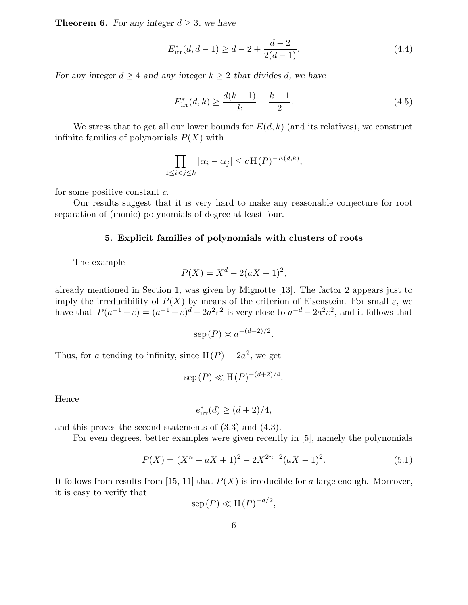**Theorem 6.** For any integer  $d \geq 3$ , we have

$$
E_{\text{irr}}^*(d, d-1) \ge d - 2 + \frac{d-2}{2(d-1)}.\tag{4.4}
$$

For any integer  $d \geq 4$  and any integer  $k \geq 2$  that divides d, we have

$$
E_{\text{irr}}^*(d,k) \ge \frac{d(k-1)}{k} - \frac{k-1}{2}.\tag{4.5}
$$

We stress that to get all our lower bounds for  $E(d, k)$  (and its relatives), we construct infinite families of polynomials  $P(X)$  with

$$
\prod_{1 \leq i < j \leq k} |\alpha_i - \alpha_j| \leq c \operatorname{H}(P)^{-E(d,k)},
$$

for some positive constant c.

Our results suggest that it is very hard to make any reasonable conjecture for root separation of (monic) polynomials of degree at least four.

## 5. Explicit families of polynomials with clusters of roots

The example

$$
P(X) = X^d - 2(aX - 1)^2,
$$

already mentioned in Section 1, was given by Mignotte [13]. The factor 2 appears just to imply the irreducibility of  $P(X)$  by means of the criterion of Eisenstein. For small  $\varepsilon$ , we have that  $P(a^{-1} + \varepsilon) = (a^{-1} + \varepsilon)^d - 2a^2 \varepsilon^2$  is very close to  $a^{-d} - 2a^2 \varepsilon^2$ , and it follows that

$$
\operatorname{sep}(P) \asymp a^{-(d+2)/2}.
$$

Thus, for a tending to infinity, since  $H(P) = 2a^2$ , we get

$$
\operatorname{sep}(P) \ll \operatorname{H}(P)^{-(d+2)/4}
$$

Hence

$$
e^*_{\text{irr}}(d) \ge (d+2)/4,
$$

and this proves the second statements of (3.3) and (4.3).

For even degrees, better examples were given recently in [5], namely the polynomials

$$
P(X) = (X^n - aX + 1)^2 - 2X^{2n-2}(aX - 1)^2.
$$
\n(5.1)

.

It follows from results from [15, 11] that  $P(X)$  is irreducible for a large enough. Moreover, it is easy to verify that

$$
\operatorname{sep}(P) \ll \operatorname{H}(P)^{-d/2},
$$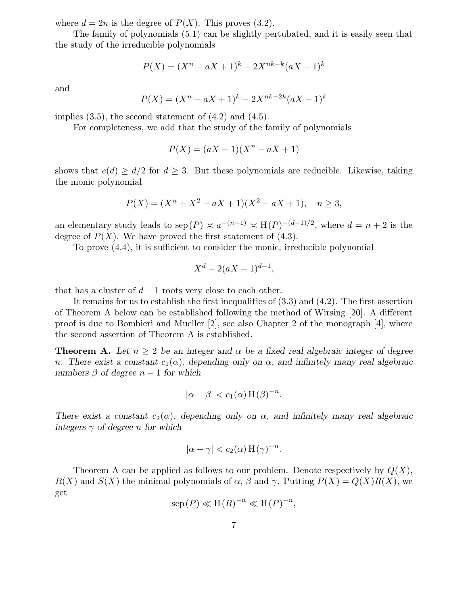where  $d = 2n$  is the degree of  $P(X)$ . This proves (3.2).

The family of polynomials (5.1) can be slightly pertubated, and it is easily seen that the study of the irreducible polynomials

$$
P(X) = (X^n - aX + 1)^k - 2X^{nk-k}(aX - 1)^k
$$

and

$$
P(X) = (X^n - aX + 1)^k - 2X^{nk - 2k} (aX - 1)^k
$$

implies  $(3.5)$ , the second statement of  $(4.2)$  and  $(4.5)$ .

For completeness, we add that the study of the family of polynomials

$$
P(X) = (aX - 1)(X^n - aX + 1)
$$

shows that  $e(d) \geq d/2$  for  $d \geq 3$ . But these polynomials are reducible. Likewise, taking the monic polynomial

$$
P(X) = (Xn + X2 - aX + 1)(X2 - aX + 1), \quad n \ge 3,
$$

an elementary study leads to sep  $(P) \simeq a^{-(n+1)} \simeq H(P)^{-(d-1)/2}$ , where  $d = n+2$  is the degree of  $P(X)$ . We have proved the first statement of (4.3).

To prove (4.4), it is sufficient to consider the monic, irreducible polynomial

$$
X^d - 2(aX - 1)^{d-1},
$$

that has a cluster of  $d-1$  roots very close to each other.

It remains for us to establish the first inequalities of (3.3) and (4.2). The first assertion of Theorem A below can be established following the method of Wirsing [20]. A different proof is due to Bombieri and Mueller [2], see also Chapter 2 of the monograph [4], where the second assertion of Theorem A is established.

**Theorem A.** Let  $n \geq 2$  be an integer and  $\alpha$  be a fixed real algebraic integer of degree n. There exist a constant  $c_1(\alpha)$ , depending only on  $\alpha$ , and infinitely many real algebraic numbers  $\beta$  of degree  $n-1$  for which

$$
|\alpha - \beta| < c_1(\alpha) \operatorname{H}(\beta)^{-n}.
$$

There exist a constant  $c_2(\alpha)$ , depending only on  $\alpha$ , and infinitely many real algebraic integers  $\gamma$  of degree n for which

$$
|\alpha - \gamma| < c_2(\alpha) \operatorname{H}(\gamma)^{-n}.
$$

Theorem A can be applied as follows to our problem. Denote respectively by  $Q(X)$ ,  $R(X)$  and  $S(X)$  the minimal polynomials of  $\alpha$ ,  $\beta$  and  $\gamma$ . Putting  $P(X) = Q(X)R(X)$ , we get

$$
\operatorname{sep}(P) \ll \operatorname{H}(R)^{-n} \ll \operatorname{H}(P)^{-n},
$$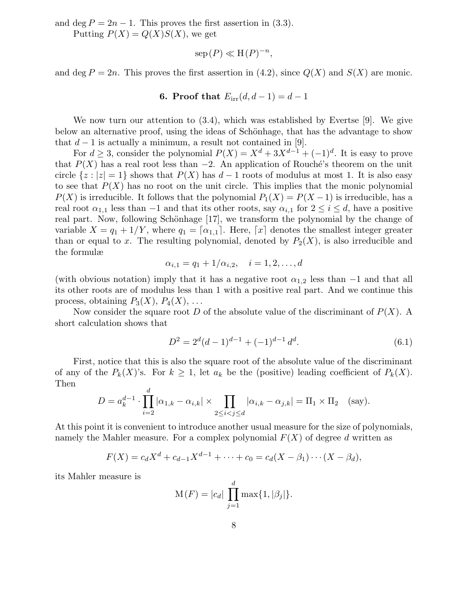and deg  $P = 2n - 1$ . This proves the first assertion in (3.3).

Putting  $P(X) = Q(X)S(X)$ , we get

$$
\operatorname{sep}(P) \ll \operatorname{H}(P)^{-n},
$$

and deg  $P = 2n$ . This proves the first assertion in (4.2), since  $Q(X)$  and  $S(X)$  are monic.

# 6. Proof that  $E_{irr}(d, d - 1) = d - 1$

We now turn our attention to (3.4), which was established by Evertse [9]. We give below an alternative proof, using the ideas of Schönhage, that has the advantage to show that  $d-1$  is actually a minimum, a result not contained in [9].

For  $d \geq 3$ , consider the polynomial  $P(X) = X^d + 3X^{d-1} + (-1)^d$ . It is easy to prove that  $P(X)$  has a real root less than  $-2$ . An application of Rouché's theorem on the unit circle  $\{z : |z| = 1\}$  shows that  $P(X)$  has  $d-1$  roots of modulus at most 1. It is also easy to see that  $P(X)$  has no root on the unit circle. This implies that the monic polynomial  $P(X)$  is irreducible. It follows that the polynomial  $P_1(X) = P(X-1)$  is irreducible, has a real root  $\alpha_{1,1}$  less than  $-1$  and that its other roots, say  $\alpha_{i,1}$  for  $2 \leq i \leq d$ , have a positive real part. Now, following Schönhage [17], we transform the polynomial by the change of variable  $X = q_1 + 1/Y$ , where  $q_1 = [\alpha_{1,1}]$ . Here,  $[x]$  denotes the smallest integer greater than or equal to x. The resulting polynomial, denoted by  $P_2(X)$ , is also irreducible and the formulæ

$$
\alpha_{i,1} = q_1 + 1/\alpha_{i,2}, \quad i = 1,2,\ldots,d
$$

(with obvious notation) imply that it has a negative root  $\alpha_{1,2}$  less than  $-1$  and that all its other roots are of modulus less than 1 with a positive real part. And we continue this process, obtaining  $P_3(X)$ ,  $P_4(X)$ , ...

Now consider the square root D of the absolute value of the discriminant of  $P(X)$ . A short calculation shows that

$$
D^2 = 2^d (d-1)^{d-1} + (-1)^{d-1} d^d.
$$
\n(6.1)

First, notice that this is also the square root of the absolute value of the discriminant of any of the  $P_k(X)$ 's. For  $k \geq 1$ , let  $a_k$  be the (positive) leading coefficient of  $P_k(X)$ . Then d

$$
D = a_k^{d-1} \cdot \prod_{i=2}^a |\alpha_{1,k} - \alpha_{i,k}| \times \prod_{2 \le i < j \le d} |\alpha_{i,k} - \alpha_{j,k}| = \Pi_1 \times \Pi_2 \quad \text{(say)}.
$$

At this point it is convenient to introduce another usual measure for the size of polynomials, namely the Mahler measure. For a complex polynomial  $F(X)$  of degree d written as

$$
F(X) = c_d X^d + c_{d-1} X^{d-1} + \dots + c_0 = c_d (X - \beta_1) \cdots (X - \beta_d),
$$

its Mahler measure is

$$
M(F) = |c_d| \prod_{j=1}^d \max\{1, |\beta_j|\}.
$$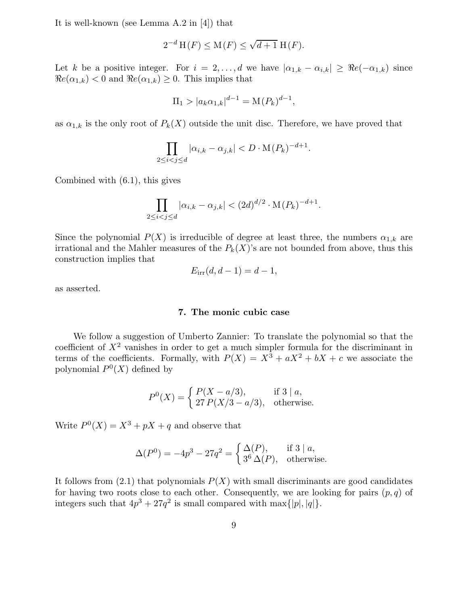It is well-known (see Lemma A.2 in [4]) that

$$
2^{-d} H(F) \le M(F) \le \sqrt{d+1} H(F).
$$

Let k be a positive integer. For  $i = 2, \ldots, d$  we have  $|\alpha_{1,k} - \alpha_{i,k}| \geq \Re(e_i - \alpha_{1,k})$  since  $\Re e(\alpha_{1,k})$  < 0 and  $\Re e(\alpha_{1,k}) \geq 0$ . This implies that

$$
\Pi_1 > |a_k \alpha_{1,k}|^{d-1} = \mathcal{M}(P_k)^{d-1},
$$

as  $\alpha_{1,k}$  is the only root of  $P_k(X)$  outside the unit disc. Therefore, we have proved that

$$
\prod_{2 \le i < j \le d} |\alpha_{i,k} - \alpha_{j,k}| < D \cdot \mathcal{M}(P_k)^{-d+1}.
$$

Combined with (6.1), this gives

$$
\prod_{2 \le i < j \le d} |\alpha_{i,k} - \alpha_{j,k}| < (2d)^{d/2} \cdot \mathcal{M}(P_k)^{-d+1}.
$$

Since the polynomial  $P(X)$  is irreducible of degree at least three, the numbers  $\alpha_{1,k}$  are irrational and the Mahler measures of the  $P_k(X)$ 's are not bounded from above, thus this construction implies that

$$
E_{irr}(d, d-1) = d-1,
$$

as asserted.

## 7. The monic cubic case

We follow a suggestion of Umberto Zannier: To translate the polynomial so that the coefficient of  $X^2$  vanishes in order to get a much simpler formula for the discriminant in terms of the coefficients. Formally, with  $P(X) = X^3 + aX^2 + bX + c$  we associate the polynomial  $P^0(X)$  defined by

$$
P^{0}(X) = \begin{cases} P(X - a/3), & \text{if } 3 \mid a, \\ 27 P(X/3 - a/3), & \text{otherwise.} \end{cases}
$$

Write  $P^0(X) = X^3 + pX + q$  and observe that

$$
\Delta(P^0) = -4p^3 - 27q^2 = \begin{cases} \Delta(P), & \text{if } 3 \mid a, \\ 3^6 \Delta(P), & \text{otherwise.} \end{cases}
$$

It follows from  $(2.1)$  that polynomials  $P(X)$  with small discriminants are good candidates for having two roots close to each other. Consequently, we are looking for pairs  $(p, q)$  of integers such that  $4p^3 + 27q^2$  is small compared with  $\max\{|p|, |q|\}.$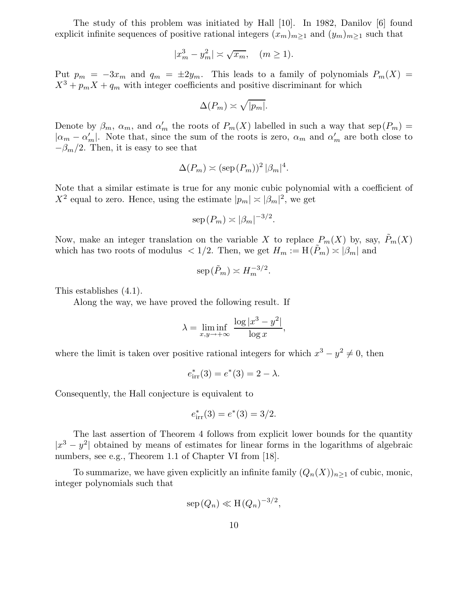The study of this problem was initiated by Hall [10]. In 1982, Danilov [6] found explicit infinite sequences of positive rational integers  $(x_m)_{m>1}$  and  $(y_m)_{m>1}$  such that

$$
|x_m^3 - y_m^2| \asymp \sqrt{x_m}, \quad (m \ge 1).
$$

Put  $p_m = -3x_m$  and  $q_m = \pm 2y_m$ . This leads to a family of polynomials  $P_m(X)$  $X^3 + p_m X + q_m$  with integer coefficients and positive discriminant for which

$$
\Delta(P_m) \asymp \sqrt{|p_m|}.
$$

Denote by  $\beta_m$ ,  $\alpha_m$ , and  $\alpha'_m$  the roots of  $P_m(X)$  labelled in such a way that  $\text{sep}(P_m)$  =  $|\alpha_m - \alpha'_m|$ . Note that, since the sum of the roots is zero,  $\alpha_m$  and  $\alpha'_m$  are both close to  $-\beta_m/2$ . Then, it is easy to see that

$$
\Delta(P_m) \asymp (\text{sep}(P_m))^2 |\beta_m|^4.
$$

Note that a similar estimate is true for any monic cubic polynomial with a coefficient of  $X^2$  equal to zero. Hence, using the estimate  $|p_m| \approx |\beta_m|^2$ , we get

$$
\mathrm{sep}(P_m) \asymp |\beta_m|^{-3/2}.
$$

Now, make an integer translation on the variable X to replace  $P_m(X)$  by, say,  $\tilde{P}_m(X)$ which has two roots of modulus  $\langle 1/2$ . Then, we get  $H_m := H(P_m) \approx |\beta_m|$  and

$$
\operatorname{sep}(\tilde{P}_m) \asymp H_m^{-3/2}.
$$

This establishes (4.1).

Along the way, we have proved the following result. If

$$
\lambda = \liminf_{x,y \to +\infty} \frac{\log |x^3 - y^2|}{\log x},
$$

where the limit is taken over positive rational integers for which  $x^3 - y^2 \neq 0$ , then

$$
e_{\text{irr}}^*(3) = e^*(3) = 2 - \lambda.
$$

Consequently, the Hall conjecture is equivalent to

$$
e_{\rm irr}^*(3) = e^*(3) = 3/2.
$$

The last assertion of Theorem 4 follows from explicit lower bounds for the quantity  $|x^3 - y^2|$  obtained by means of estimates for linear forms in the logarithms of algebraic numbers, see e.g., Theorem 1.1 of Chapter VI from [18].

To summarize, we have given explicitly an infinite family  $(Q_n(X))_{n\geq 1}$  of cubic, monic, integer polynomials such that

$$
\mathrm{sep}\,(Q_n)\ll \mathrm{H}\,(Q_n)^{-3/2},
$$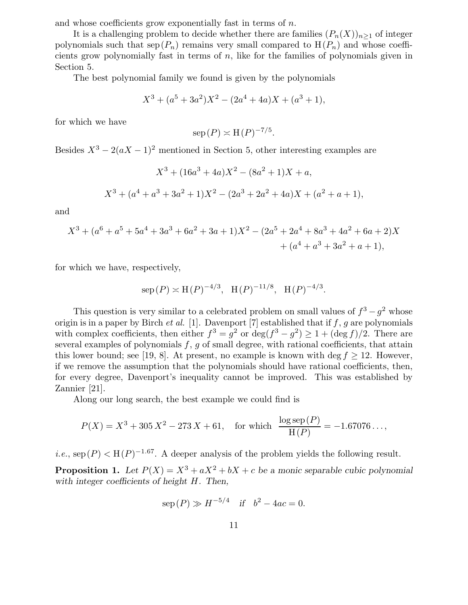and whose coefficients grow exponentially fast in terms of  $n$ .

It is a challenging problem to decide whether there are families  $(P_n(X))_{n\geq 1}$  of integer polynomials such that  $\text{sep}(P_n)$  remains very small compared to  $H(P_n)$  and whose coefficients grow polynomially fast in terms of n, like for the families of polynomials given in Section 5.

The best polynomial family we found is given by the polynomials

$$
X^3 + (a^5 + 3a^2)X^2 - (2a^4 + 4a)X + (a^3 + 1),
$$

for which we have

$$
\operatorname{sep}(P) \asymp \operatorname{H}(P)^{-7/5}.
$$

Besides  $X^3 - 2(aX - 1)^2$  mentioned in Section 5, other interesting examples are

$$
X^{3} + (16a^{3} + 4a)X^{2} - (8a^{2} + 1)X + a,
$$
  

$$
X^{3} + (a^{4} + a^{3} + 3a^{2} + 1)X^{2} - (2a^{3} + 2a^{2} + 4a)X + (a^{2} + a + 1),
$$

and

$$
X^{3} + (a^{6} + a^{5} + 5a^{4} + 3a^{3} + 6a^{2} + 3a + 1)X^{2} - (2a^{5} + 2a^{4} + 8a^{3} + 4a^{2} + 6a + 2)X + (a^{4} + a^{3} + 3a^{2} + a + 1),
$$

for which we have, respectively,

$$
sep(P) \times H(P)^{-4/3}
$$
,  $H(P)^{-11/8}$ ,  $H(P)^{-4/3}$ .

This question is very similar to a celebrated problem on small values of  $f^3 - g^2$  whose origin is in a paper by Birch *et al.* [1]. Davenport [7] established that if  $f$ ,  $g$  are polynomials with complex coefficients, then either  $f^3 = g^2$  or  $\deg(f^3 - g^2) \ge 1 + (\deg f)/2$ . There are several examples of polynomials  $f, g$  of small degree, with rational coefficients, that attain this lower bound; see [19, 8]. At present, no example is known with deg  $f \geq 12$ . However, if we remove the assumption that the polynomials should have rational coefficients, then, for every degree, Davenport's inequality cannot be improved. This was established by Zannier [21].

Along our long search, the best example we could find is

$$
P(X) = X^3 + 305 X^2 - 273 X + 61, \quad \text{for which} \quad \frac{\log \text{sep}(P)}{\text{H}(P)} = -1.67076\dots,
$$

*i.e.*, sep  $(P)$  < H $(P)$ <sup>-1.67</sup>. A deeper analysis of the problem yields the following result.

**Proposition 1.** Let  $P(X) = X^3 + aX^2 + bX + c$  be a monic separable cubic polynomial with integer coefficients of height H. Then,

$$
sep(P) \gg H^{-5/4}
$$
 if  $b^2 - 4ac = 0$ .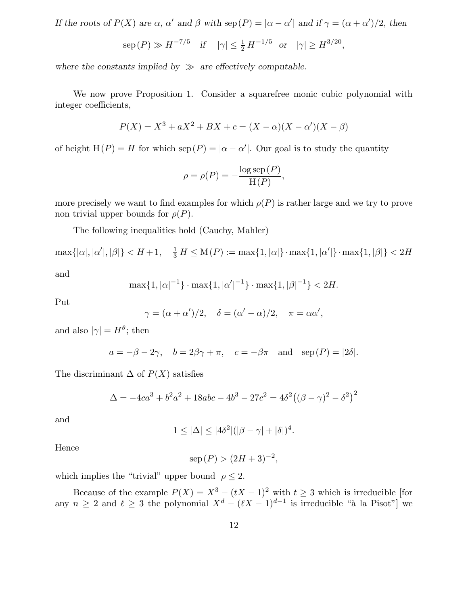If the roots of  $P(X)$  are  $\alpha$ ,  $\alpha'$  and  $\beta$  with  $\text{sep}(P) = |\alpha - \alpha'|$  and if  $\gamma = (\alpha + \alpha')/2$ , then

$$
sep(P) \gg H^{-7/5}
$$
 if  $|\gamma| \le \frac{1}{2} H^{-1/5}$  or  $|\gamma| \ge H^{3/20}$ ,

where the constants implied by  $\gg$  are effectively computable.

We now prove Proposition 1. Consider a squarefree monic cubic polynomial with integer coefficients,

$$
P(X) = X^{3} + aX^{2} + BX + c = (X - \alpha)(X - \alpha')(X - \beta)
$$

of height  $H(P) = H$  for which  $\text{sep}(P) = |\alpha - \alpha'|$ . Our goal is to study the quantity

$$
\rho = \rho(P) = -\frac{\log \operatorname{sep}(P)}{\operatorname{H}(P)},
$$

more precisely we want to find examples for which  $\rho(P)$  is rather large and we try to prove non trivial upper bounds for  $\rho(P)$ .

The following inequalities hold (Cauchy, Mahler)

 $\max\{|\alpha|, |\alpha'|, |\beta|\} < H+1, \quad \frac{1}{3}H \leq M(P) := \max\{1, |\alpha|\} \cdot \max\{1, |\alpha'|\} \cdot \max\{1, |\beta|\} < 2H$ 

and

$$
\max\{1, |\alpha|^{-1}\} \cdot \max\{1, |\alpha'|^{-1}\} \cdot \max\{1, |\beta|^{-1}\} < 2H.
$$

Put

$$
\gamma = (\alpha + \alpha')/2, \quad \delta = (\alpha' - \alpha)/2, \quad \pi = \alpha \alpha',
$$

and also  $|\gamma| = H^{\theta}$ ; then

$$
a = -\beta - 2\gamma
$$
,  $b = 2\beta\gamma + \pi$ ,  $c = -\beta\pi$  and  $sep(P) = |2\delta|$ .

The discriminant  $\Delta$  of  $P(X)$  satisfies

$$
\Delta = -4ca^{3} + b^{2}a^{2} + 18abc - 4b^{3} - 27c^{2} = 4\delta^{2}((\beta - \gamma)^{2} - \delta^{2})^{2}
$$

and

$$
1 \le |\Delta| \le |4\delta^2|(|\beta - \gamma| + |\delta|)^4.
$$

Hence

$$
\text{sep}(P) > (2H+3)^{-2},
$$

which implies the "trivial" upper bound  $\rho \leq 2$ .

Because of the example  $P(X) = X^3 - (tX - 1)^2$  with  $t \ge 3$  which is irreducible [for any  $n \geq 2$  and  $\ell \geq 3$  the polynomial  $X^d - (\ell X - 1)^{d-1}$  is irreducible "à la Pisot"] we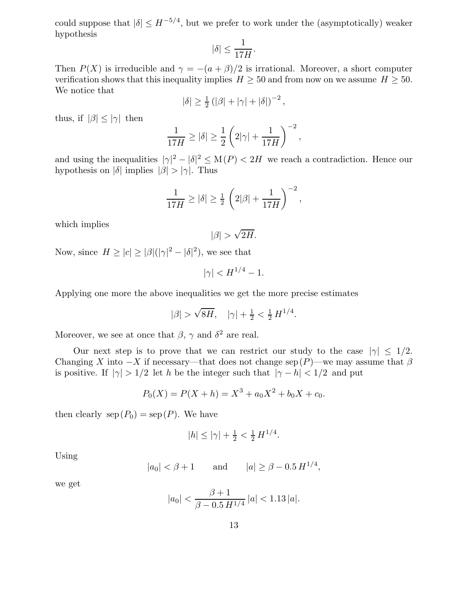could suppose that  $|\delta| \leq H^{-5/4}$ , but we prefer to work under the (asymptotically) weaker hypothesis

$$
|\delta| \le \frac{1}{17H}.
$$

Then  $P(X)$  is irreducible and  $\gamma = -(a+\beta)/2$  is irrational. Moreover, a short computer verification shows that this inequality implies  $H \geq 50$  and from now on we assume  $H \geq 50$ . We notice that

$$
|\delta| \geq \frac{1}{2} (|\beta| + |\gamma| + |\delta|)^{-2},
$$

thus, if  $|\beta| \le |\gamma|$  then

$$
\frac{1}{17H} \ge |\delta| \ge \frac{1}{2} \left( 2|\gamma| + \frac{1}{17H} \right)^{-2},
$$

and using the inequalities  $|\gamma|^2 - |\delta|^2 \le M(P) < 2H$  we reach a contradiction. Hence our hypothesis on  $|\delta|$  implies  $|\beta| > |\gamma|$ . Thus

$$
\frac{1}{17H} \ge |\delta| \ge \frac{1}{2} \left( 2|\beta| + \frac{1}{17H} \right)^{-2},
$$

which implies

$$
|\beta| > \sqrt{2H}.
$$

Now, since  $H \ge |c| \ge |\beta|(|\gamma|^2 - |\delta|^2)$ , we see that

$$
|\gamma| < H^{1/4} - 1.
$$

Applying one more the above inequalities we get the more precise estimates

$$
|\beta| > \sqrt{8H}
$$
,  $|\gamma| + \frac{1}{2} < \frac{1}{2} H^{1/4}$ .

Moreover, we see at once that  $\beta$ ,  $\gamma$  and  $\delta^2$  are real.

Our next step is to prove that we can restrict our study to the case  $|\gamma| \leq 1/2$ . Changing X into  $-X$  if necessary—that does not change sep  $(P)$ —we may assume that  $\beta$ is positive. If  $|\gamma| > 1/2$  let h be the integer such that  $|\gamma - h| < 1/2$  and put

$$
P_0(X) = P(X + h) = X^3 + a_0 X^2 + b_0 X + c_0.
$$

then clearly  $\text{sep}(P_0) = \text{sep}(P)$ . We have

$$
|h| \le |\gamma| + \frac{1}{2} < \frac{1}{2} H^{1/4}.
$$

Using

$$
|a_0| < \beta + 1
$$
 and  $|a| \ge \beta - 0.5 H^{1/4}$ ,

we get

$$
|a_0| < \frac{\beta + 1}{\beta - 0.5 \, H^{1/4}} \, |a| < 1.13 \, |a|.
$$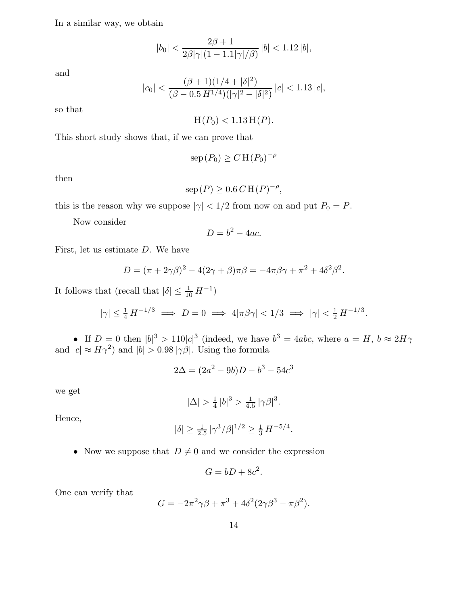In a similar way, we obtain

$$
|b_0| < \frac{2\beta + 1}{2\beta |\gamma|(1 - 1.1|\gamma|/\beta)} |b| < 1.12 |b|,
$$

and

$$
|c_0| < \frac{(\beta + 1)(1/4 + |\delta|^2)}{(\beta - 0.5 H^{1/4})(|\gamma|^2 - |\delta|^2)} |c| < 1.13 |c|,
$$

so that

 $H(P_0) < 1.13 H(P).$ 

This short study shows that, if we can prove that

$$
\mathrm{sep}(P_0) \ge C \mathrm{H}(P_0)^{-\rho}
$$

then

$$
\operatorname{sep}(P) \ge 0.6 \, C \, \mathrm{H}(P)^{-\rho},
$$

this is the reason why we suppose  $|\gamma|$  < 1/2 from now on and put  $P_0 = P$ .

Now consider

$$
D = b^2 - 4ac.
$$

First, let us estimate D. We have

$$
D = (\pi + 2\gamma\beta)^{2} - 4(2\gamma + \beta)\pi\beta = -4\pi\beta\gamma + \pi^{2} + 4\delta^{2}\beta^{2}.
$$

It follows that (recall that  $|\delta| \leq \frac{1}{10} H^{-1}$ )

$$
|\gamma| \le \frac{1}{4} H^{-1/3} \implies D = 0 \implies 4|\pi\beta\gamma| < 1/3 \implies |\gamma| < \frac{1}{2} H^{-1/3}.
$$

• If  $D = 0$  then  $|b|^3 > 110|c|^3$  (indeed, we have  $b^3 = 4abc$ , where  $a = H, b \approx 2H\gamma$ and  $|c| \approx H\gamma^2$  and  $|b| > 0.98 |\gamma \beta|$ . Using the formula

$$
2\Delta = (2a^2 - 9b)D - b^3 - 54c^3
$$

we get

$$
|\Delta| > \frac{1}{4} |b|^3 > \frac{1}{4.5} |\gamma \beta|^3.
$$

Hence,

$$
|\delta| \ge \frac{1}{2.5} |\gamma^3/\beta|^{1/2} \ge \frac{1}{3} H^{-5/4}.
$$

• Now we suppose that  $D \neq 0$  and we consider the expression

$$
G = bD + 8c^2.
$$

One can verify that

$$
G = -2\pi^2 \gamma \beta + \pi^3 + 4\delta^2 (2\gamma \beta^3 - \pi \beta^2).
$$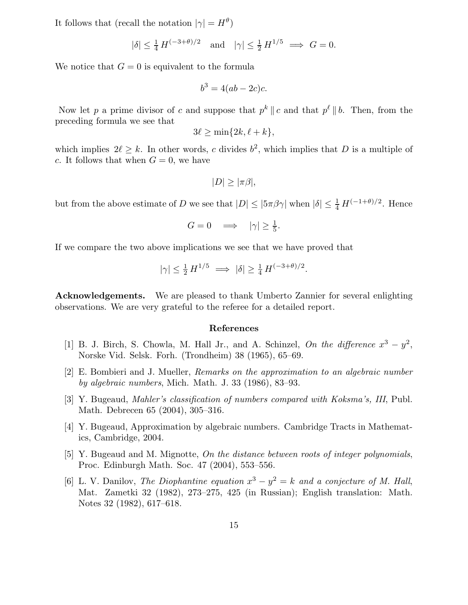It follows that (recall the notation  $|\gamma| = H^{\theta}$ )

$$
|\delta| \le \frac{1}{4} H^{(-3+\theta)/2} \quad \text{and} \quad |\gamma| \le \frac{1}{2} H^{1/5} \implies G = 0.
$$

We notice that  $G = 0$  is equivalent to the formula

$$
b^3 = 4(ab - 2c)c.
$$

Now let p a prime divisor of c and suppose that  $p^k || c$  and that  $p^{\ell} || b$ . Then, from the preceding formula we see that

$$
3\ell \geq \min\{2k, \ell + k\},\
$$

which implies  $2\ell \geq k$ . In other words, c divides  $b^2$ , which implies that D is a multiple of c. It follows that when  $G = 0$ , we have

$$
|D| \geq |\pi \beta|,
$$

but from the above estimate of D we see that  $|D| \leq |\frac{5\pi}{9}\gamma|$  when  $|\delta| \leq \frac{1}{4} H^{(-1+\theta)/2}$ . Hence

$$
G = 0 \quad \Longrightarrow \quad |\gamma| \ge \frac{1}{5}.
$$

If we compare the two above implications we see that we have proved that

$$
|\gamma| \le \frac{1}{2} H^{1/5} \implies |\delta| \ge \frac{1}{4} H^{(-3+\theta)/2}.
$$

Acknowledgements. We are pleased to thank Umberto Zannier for several enlighting observations. We are very grateful to the referee for a detailed report.

# References

- [1] B. J. Birch, S. Chowla, M. Hall Jr., and A. Schinzel, On the difference  $x^3 y^2$ , Norske Vid. Selsk. Forh. (Trondheim) 38 (1965), 65–69.
- [2] E. Bombieri and J. Mueller, Remarks on the approximation to an algebraic number by algebraic numbers, Mich. Math. J. 33 (1986), 83–93.
- [3] Y. Bugeaud, Mahler's classification of numbers compared with Koksma's, III, Publ. Math. Debrecen 65 (2004), 305–316.
- [4] Y. Bugeaud, Approximation by algebraic numbers. Cambridge Tracts in Mathematics, Cambridge, 2004.
- [5] Y. Bugeaud and M. Mignotte, On the distance between roots of integer polynomials, Proc. Edinburgh Math. Soc. 47 (2004), 553–556.
- [6] L. V. Danilov, The Diophantine equation  $x^3 y^2 = k$  and a conjecture of M. Hall, Mat. Zametki 32 (1982), 273–275, 425 (in Russian); English translation: Math. Notes 32 (1982), 617–618.